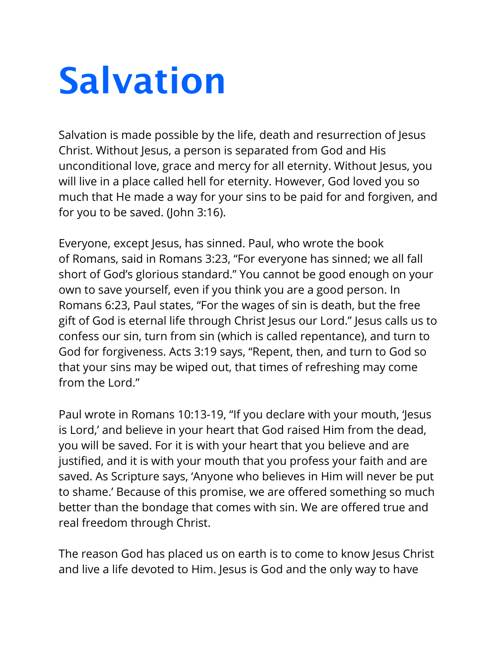## **Salvation**

Salvation is made possible by the life, death and resurrection of Jesus Christ. Without Jesus, a person is separated from God and His unconditional love, grace and mercy for all eternity. Without Jesus, you will live in a place called hell for eternity. However, God loved you so much that He made a way for your sins to be paid for and forgiven, and for you to be saved. (John 3:16).

Everyone, except Jesus, has sinned. Paul, who wrote the book of Romans, said in Romans 3:23, "For everyone has sinned; we all fall short of God's glorious standard." You cannot be good enough on your own to save yourself, even if you think you are a good person. In Romans 6:23, Paul states, "For the wages of sin is death, but the free gift of God is eternal life through Christ Jesus our Lord." Jesus calls us to confess our sin, turn from sin (which is called repentance), and turn to God for forgiveness. Acts 3:19 says, "Repent, then, and turn to God so that your sins may be wiped out, that times of refreshing may come from the Lord"

Paul wrote in Romans 10:13-19, "If you declare with your mouth, 'Jesus is Lord,' and believe in your heart that God raised Him from the dead, you will be saved. For it is with your heart that you believe and are justified, and it is with your mouth that you profess your faith and are saved. As Scripture says, 'Anyone who believes in Him will never be put to shame.' Because of this promise, we are offered something so much better than the bondage that comes with sin. We are offered true and real freedom through Christ.

The reason God has placed us on earth is to come to know Jesus Christ and live a life devoted to Him. Jesus is God and the only way to have